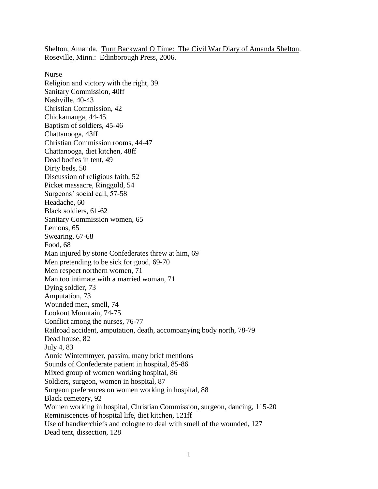Shelton, Amanda. Turn Backward O Time: The Civil War Diary of Amanda Shelton. Roseville, Minn.: Edinborough Press, 2006.

Nurse Religion and victory with the right, 39 Sanitary Commission, 40ff Nashville, 40-43 Christian Commission, 42 Chickamauga, 44-45 Baptism of soldiers, 45-46 Chattanooga, 43ff Christian Commission rooms, 44-47 Chattanooga, diet kitchen, 48ff Dead bodies in tent, 49 Dirty beds, 50 Discussion of religious faith, 52 Picket massacre, Ringgold, 54 Surgeons' social call, 57-58 Headache, 60 Black soldiers, 61-62 Sanitary Commission women, 65 Lemons, 65 Swearing, 67-68 Food, 68 Man injured by stone Confederates threw at him, 69 Men pretending to be sick for good, 69-70 Men respect northern women, 71 Man too intimate with a married woman, 71 Dying soldier, 73 Amputation, 73 Wounded men, smell, 74 Lookout Mountain, 74-75 Conflict among the nurses, 76-77 Railroad accident, amputation, death, accompanying body north, 78-79 Dead house, 82 July 4, 83 Annie Winternmyer, passim, many brief mentions Sounds of Confederate patient in hospital, 85-86 Mixed group of women working hospital, 86 Soldiers, surgeon, women in hospital, 87 Surgeon preferences on women working in hospital, 88 Black cemetery, 92 Women working in hospital, Christian Commission, surgeon, dancing, 115-20 Reminiscences of hospital life, diet kitchen, 121ff Use of handkerchiefs and cologne to deal with smell of the wounded, 127 Dead tent, dissection, 128